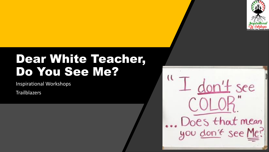

## Dear White Teacher, Do You See Me?

Inspirational Workshops

**Trailblazers** 

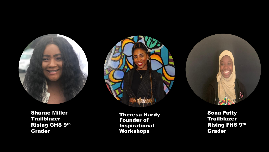





Sharae Miller **Trailblazer** Rising GHS 9th Grader

Theresa Hardy Founder of Inspirational Workshops

Sona Fatty **Trailblazer** Rising FHS 9th Grader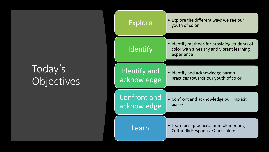## Today's Objectives

| <b>Explore</b>                     | • Explore the different ways we see our<br>youth of color                                               |
|------------------------------------|---------------------------------------------------------------------------------------------------------|
| Identify                           | • Identify methods for providing students of<br>color with a healthy and vibrant learning<br>experience |
| <b>Identify and</b><br>acknowledge | • Identify and acknowledge harmful<br>practices towards our youth of color                              |
| <b>Confront and</b><br>acknowledge | • Confront and acknowledge our implicit<br>biases                                                       |
| Learn                              | • Learn best practices for implementing<br><b>Culturally Responsive Curriculum</b>                      |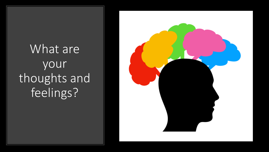## What are your thoughts and feelings?

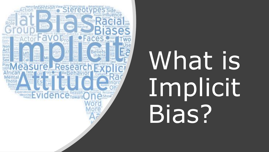

# What is Implicit Bias?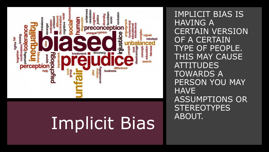

## Implicit Bias

IMPLICIT BIAS IS HAVING A CERTAIN VERSION OF A CERTAIN TYPE OF PEOPLE. THIS MAY CAUSE ATTITUDES TOWARDS A PERSON YOU MAY **HAVE** ASSUMPTIONS OR **STEREOTYPES** ABOUT.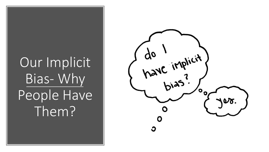## Our Implicit Bias- Why People Have Them?

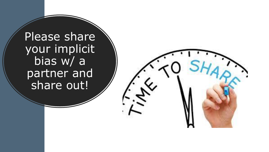Please share your implicit bias w/a partner and share out!

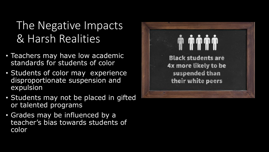## The Negative Impacts & Harsh Realities

- Teachers may have low academic standards for students of color
- Students of color may experience disproportionate suspension and expulsion
- Students may not be placed in gifted or talented programs
- Grades may be influenced by a teacher's bias towards students of color

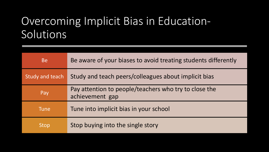## Overcoming Implicit Bias in Education-Solutions

| <b>Be</b>       | Be aware of your biases to avoid treating students differently           |
|-----------------|--------------------------------------------------------------------------|
| Study and teach | Study and teach peers/colleagues about implicit bias                     |
| Pay             | Pay attention to people/teachers who try to close the<br>achievement gap |
| <b>Tune</b>     | Tune into implicit bias in your school                                   |
| Stop            | Stop buying into the single story                                        |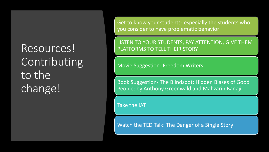## Resources! Contributing to the change!

Get to know your students- especially the students who you consider to have problematic behavior

LISTEN TO YOUR STUDENTS, PAY ATTENTION, GIVE THEM PLATFORMS TO TELL THEIR STORY

Movie Suggestion- Freedom Writers

Book Suggestion- The Blindspot: Hidden Biases of Good People: by Anthony Greenwald and Mahzarin Banaji

Take the IAT

Watch the TED Talk: The Danger of a Single Story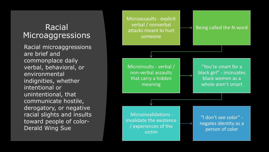#### Racial **Microaggressions**

Racial microaggressions are brief and commonplace daily verbal, behavioral, or environmental indignities, whether intentional or unintentional, that communicate hostile, derogatory, or negative racial slights and insults toward people of color - Derald Wing Sue

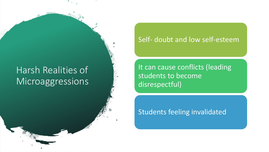### Harsh Realities of Microaggressions<sup>1</sup>

#### Self- doubt and low self-esteem

It can cause conflicts (leading students to become disrespectful)

#### Students feeling invalidated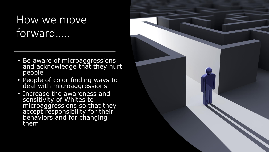## How we move forward…..

- Be aware of microaggressions and acknowledge that they hurt people
- People of color finding ways to deal with microaggressions
- Increase the awareness and sensitivity of Whites to microaggressions so that they accept responsibility for their behaviors and for changing them

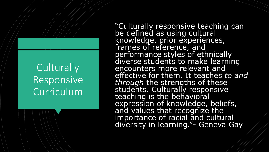### **Culturally** Responsive Curriculum

"Culturally responsive teaching can be defined as using cultural knowledge, prior experiences, frames of reference, and performance styles of ethnically diverse students to make learning encounters more relevant and effective for them. It teaches to and *through* the strengths of these students. Culturally responsive teaching is the behavioral expression of knowledge, beliefs, and values that recognize the importance of racial and cultural diversity in learning."- Geneva Gay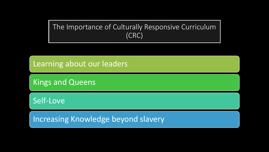#### The Importance of Culturally Responsive Curriculum (CRC)

Learning about our leaders

Kings and Queens

Self-Love

Increasing Knowledge beyond slavery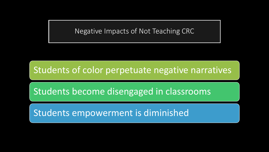Negative Impacts of Not Teaching CRC

Students of color perpetuate negative narratives

Students become disengaged in classrooms

Students empowerment is diminished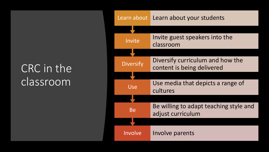## CRC in the classroom

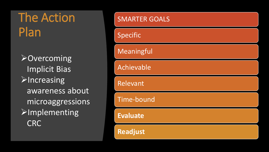The Action Plan

➢Overcoming Implicit Bias ➢Increasing awareness about microaggressions ➢Implementing CRC

| <b>SMARTER GOALS</b> |
|----------------------|
| <b>Specific</b>      |
| Meaningful           |
| Achievable           |
| Relevant             |
| Time-bound           |
| <b>Evaluate</b>      |
| Readjust             |